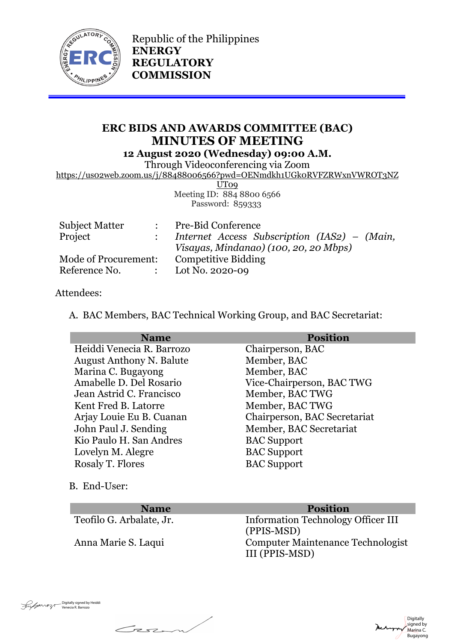

Republic of the Philippines **ENERGY REGULATORY COMMISSION**

# **ERC BIDS AND AWARDS COMMITTEE (BAC) MINUTES OF MEETING 12 August 2020 (Wednesday) 09:00 A.M.**

Through Videoconferencing via Zoom

https://us02web.zoom.us/j/88488006566?pwd=OENmdkh1UGk0RVFZRWxnVWROT3NZ

UT<sub>09</sub> Meeting ID: 884 8800 6566 Password: 859333

| <b>Subject Matter</b> |                                                                                         | <b>Pre-Bid Conference</b>                    |
|-----------------------|-----------------------------------------------------------------------------------------|----------------------------------------------|
| Project               |                                                                                         | Internet Access Subscription (IAS2) – (Main, |
|                       |                                                                                         | Visayas, Mindanao) (100, 20, 20 Mbps)        |
| Mode of Procurement:  |                                                                                         | <b>Competitive Bidding</b>                   |
| Reference No.         | $\mathcal{L}^{\text{max}}(\mathbb{R}^n)$ . The $\mathcal{L}^{\text{max}}(\mathbb{R}^n)$ | Lot No. 2020-09                              |

#### Attendees:

A. BAC Members, BAC Technical Working Group, and BAC Secretariat:

| <b>Name</b>                     | <b>Position</b>              |
|---------------------------------|------------------------------|
| Heiddi Venecia R. Barrozo       | Chairperson, BAC             |
| <b>August Anthony N. Balute</b> | Member, BAC                  |
| Marina C. Bugayong              | Member, BAC                  |
| Amabelle D. Del Rosario         | Vice-Chairperson, BAC TWG    |
| Jean Astrid C. Francisco        | Member, BAC TWG              |
| Kent Fred B. Latorre            | Member, BAC TWG              |
| Arjay Louie Eu B. Cuanan        | Chairperson, BAC Secretariat |
| John Paul J. Sending            | Member, BAC Secretariat      |
| Kio Paulo H. San Andres         | <b>BAC</b> Support           |
| Lovelyn M. Alegre               | <b>BAC</b> Support           |
| <b>Rosaly T. Flores</b>         | <b>BAC</b> Support           |

B. End-User:

Casa

## **Name Position**

Teofilo G. Arbalate, Jr. Information Technology Officer III (PPIS-MSD) Anna Marie S. Laqui Computer Maintenance Technologist III (PPIS-MSD)

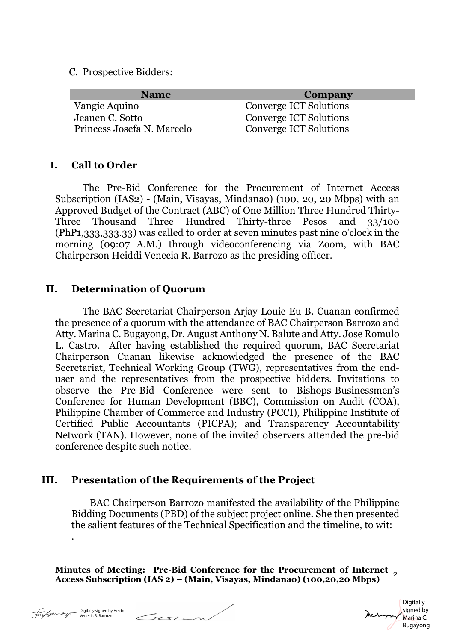C. Prospective Bidders:

| <b>Name</b>                | <b>Company</b>                |
|----------------------------|-------------------------------|
| Vangie Aquino              | <b>Converge ICT Solutions</b> |
| Jeanen C. Sotto            | Converge ICT Solutions        |
| Princess Josefa N. Marcelo | Converge ICT Solutions        |

#### **I. Call to Order**

The Pre-Bid Conference for the Procurement of Internet Access Subscription (IAS2) - (Main, Visayas, Mindanao) (100, 20, 20 Mbps) with an Approved Budget of the Contract (ABC) of One Million Three Hundred Thirty-Three Thousand Three Hundred Thirty-three Pesos and 33/100 (PhP1,333,333.33) was called to order at seven minutes past nine o'clock in the morning (09:07 A.M.) through videoconferencing via Zoom, with BAC Chairperson Heiddi Venecia R. Barrozo as the presiding officer.

#### **II. Determination of Quorum**

The BAC Secretariat Chairperson Arjay Louie Eu B. Cuanan confirmed the presence of a quorum with the attendance of BAC Chairperson Barrozo and Atty. Marina C. Bugayong, Dr. August Anthony N. Balute and Atty. Jose Romulo L. Castro. After having established the required quorum, BAC Secretariat Chairperson Cuanan likewise acknowledged the presence of the BAC Secretariat, Technical Working Group (TWG), representatives from the enduser and the representatives from the prospective bidders. Invitations to observe the Pre-Bid Conference were sent to Bishops-Businessmen's Conference for Human Development (BBC), Commission on Audit (COA), Philippine Chamber of Commerce and Industry (PCCI), Philippine Institute of Certified Public Accountants (PICPA); and Transparency Accountability Network (TAN). However, none of the invited observers attended the pre-bid conference despite such notice.

### **III. Presentation of the Requirements of the Project**

 BAC Chairperson Barrozo manifested the availability of the Philippine Bidding Documents (PBD) of the subject project online. She then presented the salient features of the Technical Specification and the timeline, to wit:

**Minutes of Meeting: Pre-Bid Conference for the Procurement of Internet Access Subscription (IAS 2) – (Main, Visayas, Mindanao) (100,20,20 Mbps)** <sup>2</sup>

.

Tese

**Digitally** signed by Marina C. Bugayong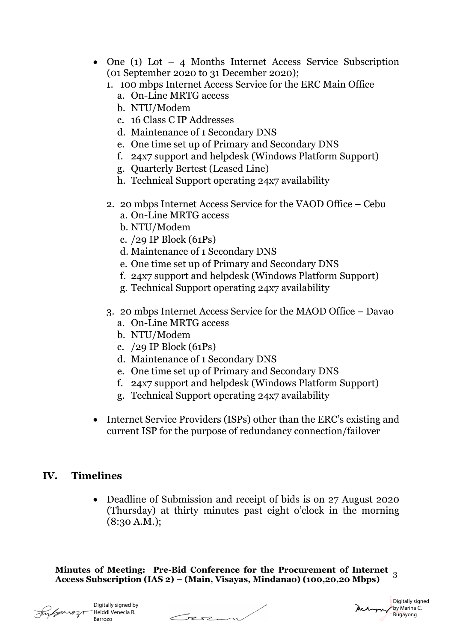- One (1) Lot 4 Months Internet Access Service Subscription (01 September 2020 to 31 December 2020);
	- 1. 100 mbps Internet Access Service for the ERC Main Office
		- a. On-Line MRTG access
		- b. NTU/Modem
		- c. 16 Class C IP Addresses
		- d. Maintenance of 1 Secondary DNS
		- e. One time set up of Primary and Secondary DNS
		- f. 24x7 support and helpdesk (Windows Platform Support)
		- g. Quarterly Bertest (Leased Line)
		- h. Technical Support operating 24x7 availability
	- 2. 20 mbps Internet Access Service for the VAOD Office Cebu
		- a. On-Line MRTG access
		- b. NTU/Modem
		- c. /29 IP Block (61Ps)
		- d. Maintenance of 1 Secondary DNS
		- e. One time set up of Primary and Secondary DNS
		- f. 24x7 support and helpdesk (Windows Platform Support)
		- g. Technical Support operating 24x7 availability
	- 3. 20 mbps Internet Access Service for the MAOD Office Davao
		- a. On-Line MRTG access
		- b. NTU/Modem
		- c. /29 IP Block (61Ps)
		- d. Maintenance of 1 Secondary DNS
		- e. One time set up of Primary and Secondary DNS
		- f. 24x7 support and helpdesk (Windows Platform Support)
		- g. Technical Support operating 24x7 availability
- Internet Service Providers (ISPs) other than the ERC's existing and current ISP for the purpose of redundancy connection/failover

### **IV. Timelines**

• Deadline of Submission and receipt of bids is on 27 August 2020 (Thursday) at thirty minutes past eight o'clock in the morning (8:30 A.M.);

**Minutes of Meeting: Pre-Bid Conference for the Procurement of Internet Access Subscription (IAS 2) – (Main, Visayas, Mindanao) (100,20,20 Mbps)** <sup>3</sup>

Heiddi Venecia R.

Digitally signed by Barrozo



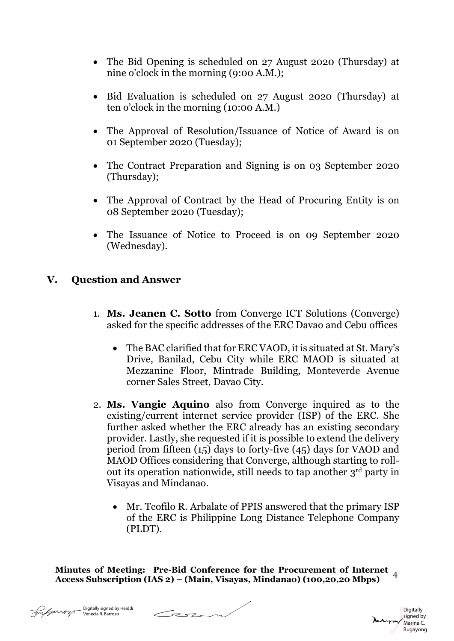- The Bid Opening is scheduled on 27 August 2020 (Thursday) at nine o'clock in the morning (9:00 A.M.);
- Bid Evaluation is scheduled on 27 August 2020 (Thursday) at ten o'clock in the morning (10:00 A.M.)
- The Approval of Resolution/Issuance of Notice of Award is on 01 September 2020 (Tuesday);
- The Contract Preparation and Signing is on 03 September 2020 (Thursday);
- The Approval of Contract by the Head of Procuring Entity is on 08 September 2020 (Tuesday);
- The Issuance of Notice to Proceed is on 09 September 2020 (Wednesday).

# **V. Question and Answer**

- 1. **Ms. Jeanen C. Sotto** from Converge ICT Solutions (Converge) asked for the specific addresses of the ERC Davao and Cebu offices
	- The BAC clarified that for ERC VAOD, it is situated at St. Mary's Drive, Banilad, Cebu City while ERC MAOD is situated at Mezzanine Floor, Mintrade Building, Monteverde Avenue corner Sales Street, Davao City.
- 2. **Ms. Vangie Aquino** also from Converge inquired as to the existing/current internet service provider (ISP) of the ERC. She further asked whether the ERC already has an existing secondary provider. Lastly, she requested if it is possible to extend the delivery period from fifteen (15) days to forty-five (45) days for VAOD and MAOD Offices considering that Converge, although starting to rollout its operation nationwide, still needs to tap another 3rd party in Visayas and Mindanao.
	- Mr. Teofilo R. Arbalate of PPIS answered that the primary ISP of the ERC is Philippine Long Distance Telephone Company (PLDT).

**Minutes of Meeting: Pre-Bid Conference for the Procurement of Internet Access Subscription (IAS 2) – (Main, Visayas, Mindanao) (100,20,20 Mbps)** <sup>4</sup>

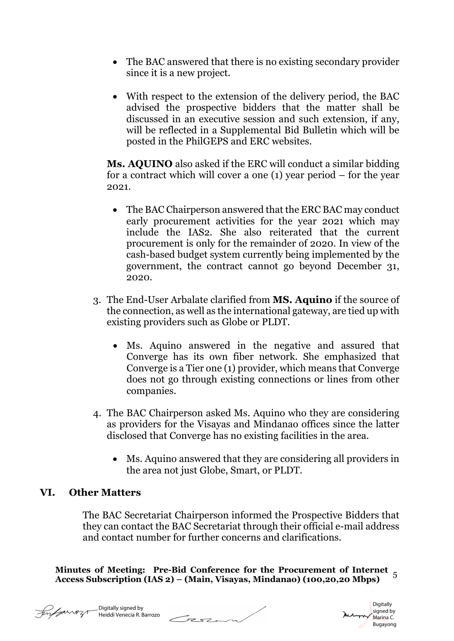- The BAC answered that there is no existing secondary provider since it is a new project.
- With respect to the extension of the delivery period, the BAC advised the prospective bidders that the matter shall be discussed in an executive session and such extension, if any, will be reflected in a Supplemental Bid Bulletin which will be posted in the PhilGEPS and ERC websites.

**Ms. AQUINO** also asked if the ERC will conduct a similar bidding for a contract which will cover a one (1) year period – for the year 2021.

- The BAC Chairperson answered that the ERC BAC may conduct early procurement activities for the year 2021 which may include the IAS2. She also reiterated that the current procurement is only for the remainder of 2020. In view of the cash-based budget system currently being implemented by the government, the contract cannot go beyond December 31, 2020.
- 3. The End-User Arbalate clarified from **MS. Aquino** if the source of the connection, as well as the international gateway, are tied up with existing providers such as Globe or PLDT.
	- Ms. Aquino answered in the negative and assured that Converge has its own fiber network. She emphasized that Converge is a Tier one (1) provider, which means that Converge does not go through existing connections or lines from other companies.
- 4. The BAC Chairperson asked Ms. Aquino who they are considering as providers for the Visayas and Mindanao offices since the latter disclosed that Converge has no existing facilities in the area.
	- Ms. Aquino answered that they are considering all providers in the area not just Globe, Smart, or PLDT.

# **VI. Other Matters**

The BAC Secretariat Chairperson informed the Prospective Bidders that they can contact the BAC Secretariat through their official e-mail address and contact number for further concerns and clarifications.

**Minutes of Meeting: Pre-Bid Conference for the Procurement of Internet Access Subscription (IAS 2) – (Main, Visayas, Mindanao) (100,20,20 Mbps)** <sup>5</sup>



Digitally signed by Heiddi Venecia R. Barrozo